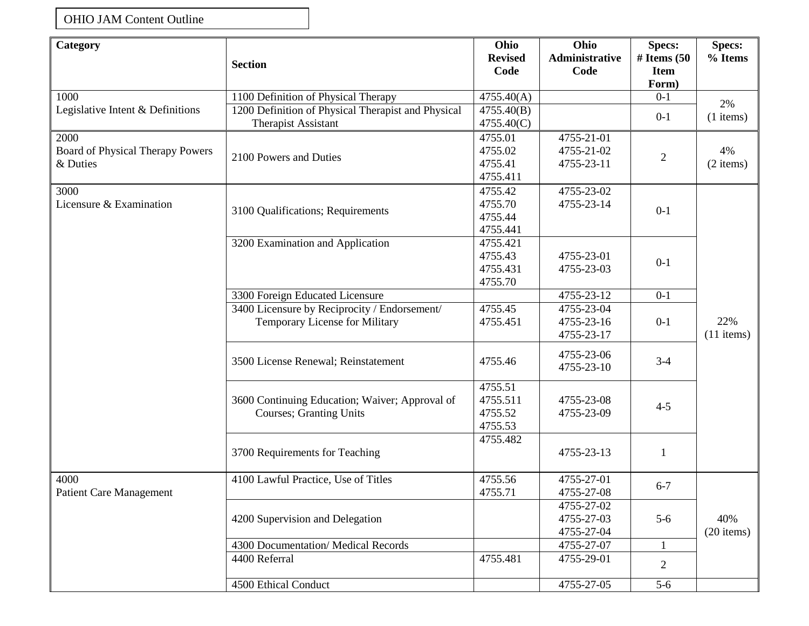## OHIO JAM Content Outline

| Category                                             | <b>Section</b>                                                            | Ohio<br><b>Revised</b> | Ohio<br><b>Administrative</b> | <b>Specs:</b><br># Items $(50)$ | <b>Specs:</b><br>% Items |
|------------------------------------------------------|---------------------------------------------------------------------------|------------------------|-------------------------------|---------------------------------|--------------------------|
|                                                      |                                                                           | Code                   | Code                          | <b>Item</b><br>Form)            |                          |
| 1000                                                 | 1100 Definition of Physical Therapy                                       | 4755.40(A)             |                               | $0-1$                           |                          |
| Legislative Intent & Definitions                     | 1200 Definition of Physical Therapist and Physical<br>4755.40(B)          |                        | $0 - 1$                       | 2%<br>$(1$ items)               |                          |
|                                                      | <b>Therapist Assistant</b>                                                | 4755.40(C)             |                               |                                 |                          |
| 2000<br>Board of Physical Therapy Powers<br>& Duties | 2100 Powers and Duties                                                    | 4755.01                | 4755-21-01                    | $\mathbf{2}$                    | 4%<br>$(2$ items)        |
|                                                      |                                                                           | 4755.02                | 4755-21-02                    |                                 |                          |
|                                                      |                                                                           | 4755.41                | 4755-23-11                    |                                 |                          |
|                                                      |                                                                           | 4755.411               |                               |                                 |                          |
| 3000                                                 | 3100 Qualifications; Requirements                                         | 4755.42                | 4755-23-02                    | $0-1$                           |                          |
| Licensure & Examination                              |                                                                           | 4755.70                | 4755-23-14                    |                                 |                          |
|                                                      |                                                                           | 4755.44                |                               |                                 |                          |
|                                                      |                                                                           | 4755.441               |                               |                                 |                          |
|                                                      | 3200 Examination and Application                                          | 4755.421               |                               |                                 | 22%                      |
|                                                      |                                                                           | 4755.43                | 4755-23-01                    |                                 |                          |
|                                                      |                                                                           | 4755.431               | 4755-23-03                    | $0 - 1$                         |                          |
|                                                      |                                                                           | 4755.70                |                               |                                 |                          |
|                                                      | 3300 Foreign Educated Licensure                                           |                        | 4755-23-12                    | $0-1$                           |                          |
|                                                      | 3400 Licensure by Reciprocity / Endorsement/                              | 4755.45                | 4755-23-04                    |                                 |                          |
|                                                      | <b>Temporary License for Military</b>                                     | 4755.451               | 4755-23-16                    | $0 - 1$                         |                          |
|                                                      |                                                                           |                        | 4755-23-17                    |                                 | $(11$ items)             |
|                                                      | 3500 License Renewal; Reinstatement                                       | 4755.46                | 4755-23-06                    | $3-4$                           |                          |
|                                                      |                                                                           |                        | 4755-23-10                    |                                 |                          |
|                                                      |                                                                           |                        |                               |                                 |                          |
|                                                      |                                                                           | 4755.51                |                               |                                 |                          |
|                                                      | 3600 Continuing Education; Waiver; Approval of<br>Courses; Granting Units | 4755.511               | 4755-23-08                    | $4 - 5$                         |                          |
|                                                      |                                                                           | 4755.52                | 4755-23-09                    |                                 |                          |
|                                                      |                                                                           | 4755.53                |                               |                                 |                          |
|                                                      |                                                                           | 4755.482               |                               |                                 |                          |
|                                                      | 3700 Requirements for Teaching                                            |                        | 4755-23-13                    | $\mathbf{1}$                    |                          |
|                                                      |                                                                           |                        |                               |                                 |                          |
| 4000<br>Patient Care Management                      | 4100 Lawful Practice, Use of Titles                                       | 4755.56                | 4755-27-01                    | $6 - 7$                         |                          |
|                                                      |                                                                           | 4755.71                | 4755-27-08                    |                                 |                          |
|                                                      |                                                                           |                        | 4755-27-02                    |                                 |                          |
|                                                      | 4200 Supervision and Delegation                                           |                        | 4755-27-03                    | $5-6$                           | 40%                      |
|                                                      |                                                                           |                        | 4755-27-04                    |                                 | $(20$ items)             |
|                                                      | 4300 Documentation/ Medical Records                                       |                        | 4755-27-07                    | 1                               |                          |
|                                                      | 4400 Referral                                                             | 4755.481               | 4755-29-01                    | $\overline{2}$                  |                          |
|                                                      |                                                                           |                        |                               |                                 |                          |
|                                                      | 4500 Ethical Conduct                                                      |                        | 4755-27-05                    | $5-6$                           |                          |